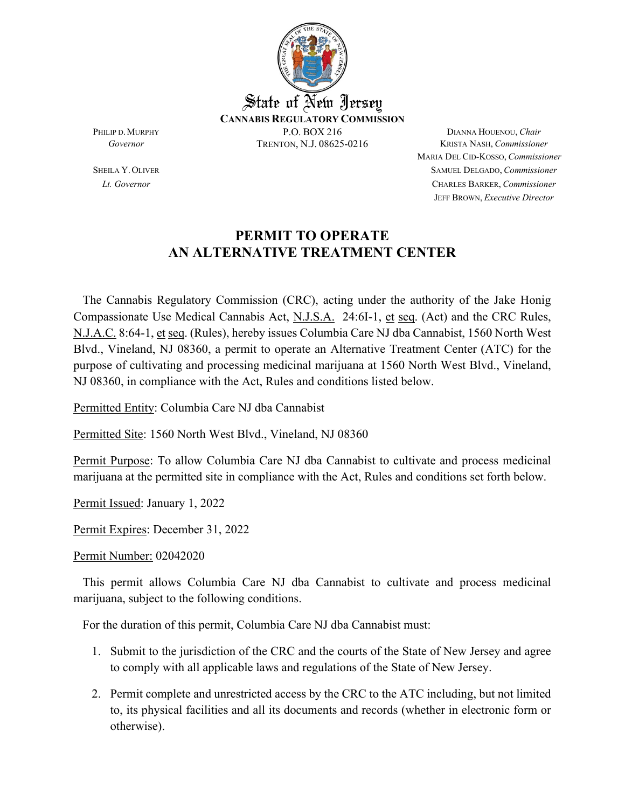

MARIA DEL CID-KOSSO, *Commissioner* SHEILA Y.OLIVER SAMUEL DELGADO, *Commissioner Lt. Governor* CHARLES BARKER, *Commissioner* JEFF BROWN, *Executive Director*

#### **PERMIT TO OPERATE AN ALTERNATIVE TREATMENT CENTER**

 The Cannabis Regulatory Commission (CRC), acting under the authority of the Jake Honig Compassionate Use Medical Cannabis Act, N.J.S.A. 24:6I-1, et seq. (Act) and the CRC Rules, N.J.A.C. 8:64-1, et seq. (Rules), hereby issues Columbia Care NJ dba Cannabist, 1560 North West Blvd., Vineland, NJ 08360, a permit to operate an Alternative Treatment Center (ATC) for the purpose of cultivating and processing medicinal marijuana at 1560 North West Blvd., Vineland, NJ 08360, in compliance with the Act, Rules and conditions listed below.

Permitted Entity: Columbia Care NJ dba Cannabist

Permitted Site: 1560 North West Blvd., Vineland, NJ 08360

Permit Purpose: To allow Columbia Care NJ dba Cannabist to cultivate and process medicinal marijuana at the permitted site in compliance with the Act, Rules and conditions set forth below.

Permit Issued: January 1, 2022

Permit Expires: December 31, 2022

Permit Number: 02042020

 This permit allows Columbia Care NJ dba Cannabist to cultivate and process medicinal marijuana, subject to the following conditions.

For the duration of this permit, Columbia Care NJ dba Cannabist must:

- 1. Submit to the jurisdiction of the CRC and the courts of the State of New Jersey and agree to comply with all applicable laws and regulations of the State of New Jersey.
- 2. Permit complete and unrestricted access by the CRC to the ATC including, but not limited to, its physical facilities and all its documents and records (whether in electronic form or otherwise).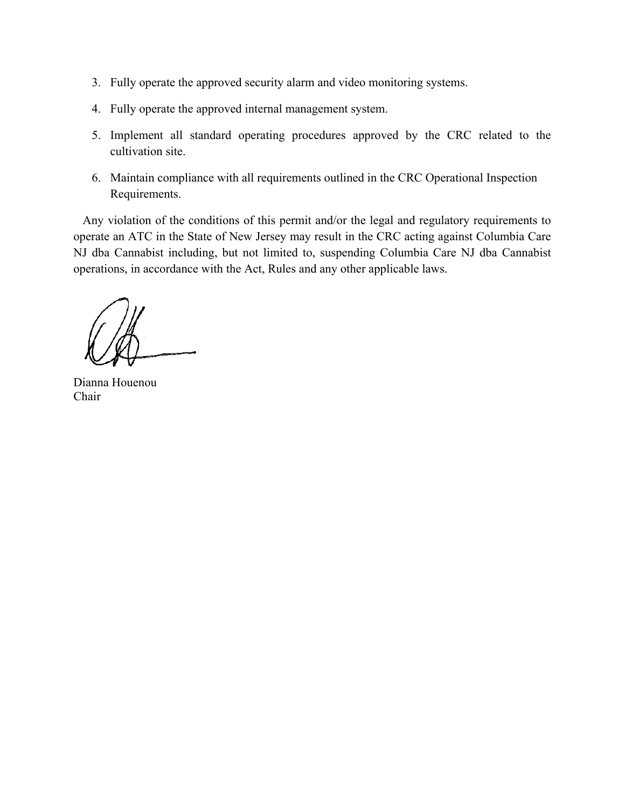- 3. Fully operate the approved security alarm and video monitoring systems.
- 4. Fully operate the approved internal management system.
- 5. Implement all standard operating procedures approved by the CRC related to the cultivation site.
- 6. Maintain compliance with all requirements outlined in the CRC Operational Inspection Requirements.

 Any violation of the conditions of this permit and/or the legal and regulatory requirements to operate an ATC in the State of New Jersey may result in the CRC acting against Columbia Care NJ dba Cannabist including, but not limited to, suspending Columbia Care NJ dba Cannabist operations, in accordance with the Act, Rules and any other applicable laws.

Dianna Houenou Chair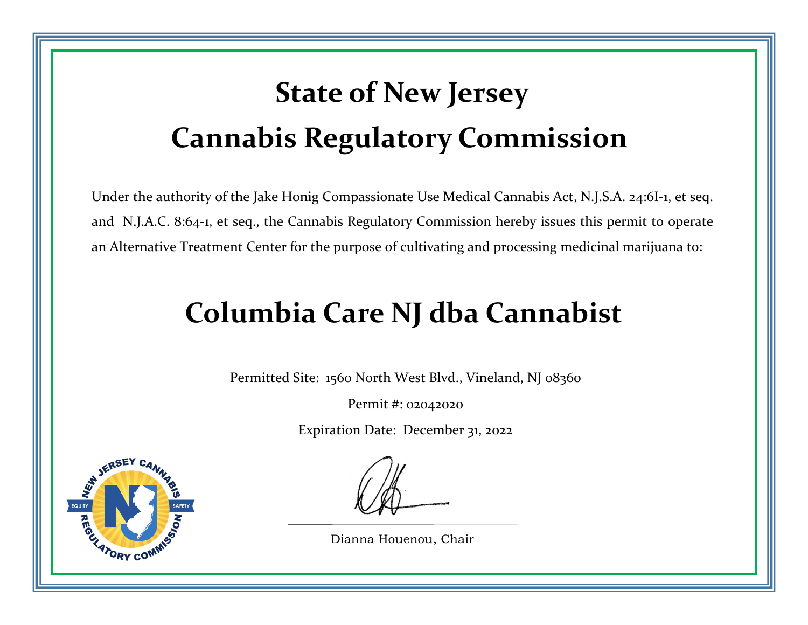# **State of New Jersey Cannabis Regulatory Commission**

Under the authority of the Jake Honig Compassionate Use Medical Cannabis Act, N.J.S.A. 24:6I‐1, et seq. and N.J.A.C. 8:64‐1, et seq., the Cannabis Regulatory Commission hereby issues this permit to operate an Alternative Treatment Center for the purpose of cultivating and processing medicinal marijuana to:

### **Columbia Care NJ dba Cannabist**

Permitted Site: 1560 North West Blvd., Vineland, NJ 08360

Permit #: 02042020

Expiration Date: December 31, 2022



Dianna Houenou, Chair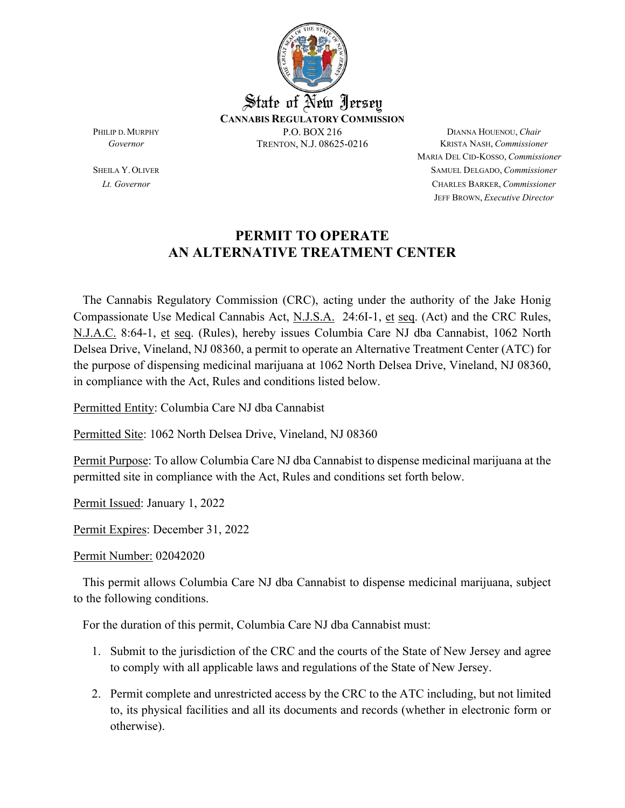

MARIA DEL CID-KOSSO, *Commissioner* SHEILA Y.OLIVER SAMUEL DELGADO, *Commissioner Lt. Governor* CHARLES BARKER, *Commissioner* JEFF BROWN, *Executive Director*

#### **PERMIT TO OPERATE AN ALTERNATIVE TREATMENT CENTER**

 The Cannabis Regulatory Commission (CRC), acting under the authority of the Jake Honig Compassionate Use Medical Cannabis Act, N.J.S.A. 24:6I-1, et seq. (Act) and the CRC Rules, N.J.A.C. 8:64-1, et seq. (Rules), hereby issues Columbia Care NJ dba Cannabist, 1062 North Delsea Drive, Vineland, NJ 08360, a permit to operate an Alternative Treatment Center (ATC) for the purpose of dispensing medicinal marijuana at 1062 North Delsea Drive, Vineland, NJ 08360, in compliance with the Act, Rules and conditions listed below.

Permitted Entity: Columbia Care NJ dba Cannabist

Permitted Site: 1062 North Delsea Drive, Vineland, NJ 08360

Permit Purpose: To allow Columbia Care NJ dba Cannabist to dispense medicinal marijuana at the permitted site in compliance with the Act, Rules and conditions set forth below.

Permit Issued: January 1, 2022

Permit Expires: December 31, 2022

Permit Number: 02042020

 This permit allows Columbia Care NJ dba Cannabist to dispense medicinal marijuana, subject to the following conditions.

For the duration of this permit, Columbia Care NJ dba Cannabist must:

- 1. Submit to the jurisdiction of the CRC and the courts of the State of New Jersey and agree to comply with all applicable laws and regulations of the State of New Jersey.
- 2. Permit complete and unrestricted access by the CRC to the ATC including, but not limited to, its physical facilities and all its documents and records (whether in electronic form or otherwise).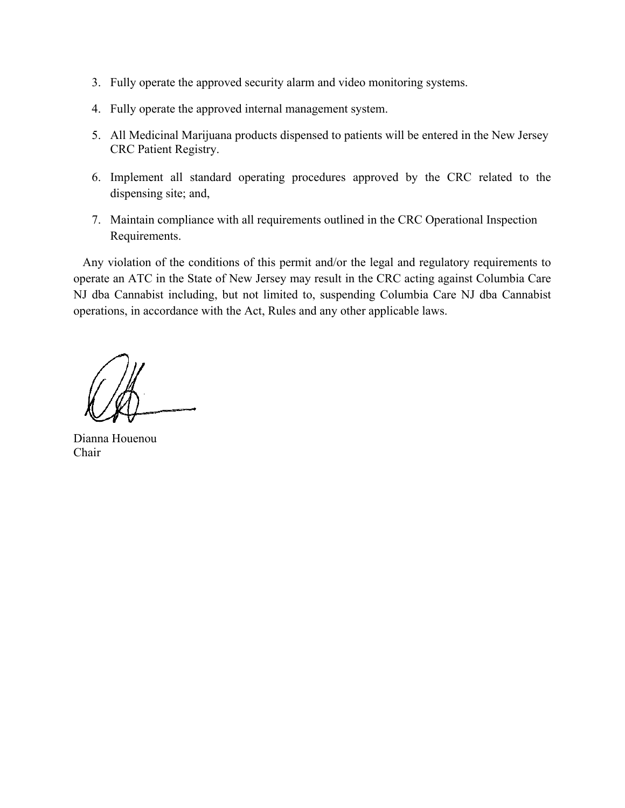- 3. Fully operate the approved security alarm and video monitoring systems.
- 4. Fully operate the approved internal management system.
- 5. All Medicinal Marijuana products dispensed to patients will be entered in the New Jersey CRC Patient Registry.
- 6. Implement all standard operating procedures approved by the CRC related to the dispensing site; and,
- 7. Maintain compliance with all requirements outlined in the CRC Operational Inspection Requirements.

 Any violation of the conditions of this permit and/or the legal and regulatory requirements to operate an ATC in the State of New Jersey may result in the CRC acting against Columbia Care NJ dba Cannabist including, but not limited to, suspending Columbia Care NJ dba Cannabist operations, in accordance with the Act, Rules and any other applicable laws.

Dianna Houenou Chair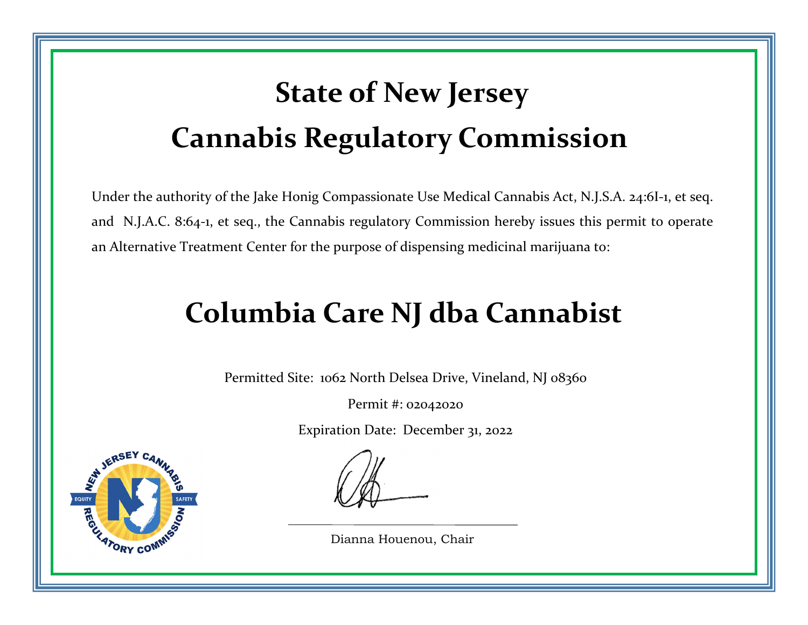# **State of New Jersey Cannabis Regulatory Commission**

Under the authority of the Jake Honig Compassionate Use Medical Cannabis Act, N.J.S.A. 24:6I‐1, et seq. and N.J.A.C. 8:64‐1, et seq., the Cannabis regulatory Commission hereby issues this permit to operate an Alternative Treatment Center for the purpose of dispensing medicinal marijuana to:

### **Columbia Care NJ dba Cannabist**

Permitted Site: 1062 North Delsea Drive, Vineland, NJ 08360

Permit #: 02042020

Expiration Date: December 31, 2022



Dianna Houenou, Chair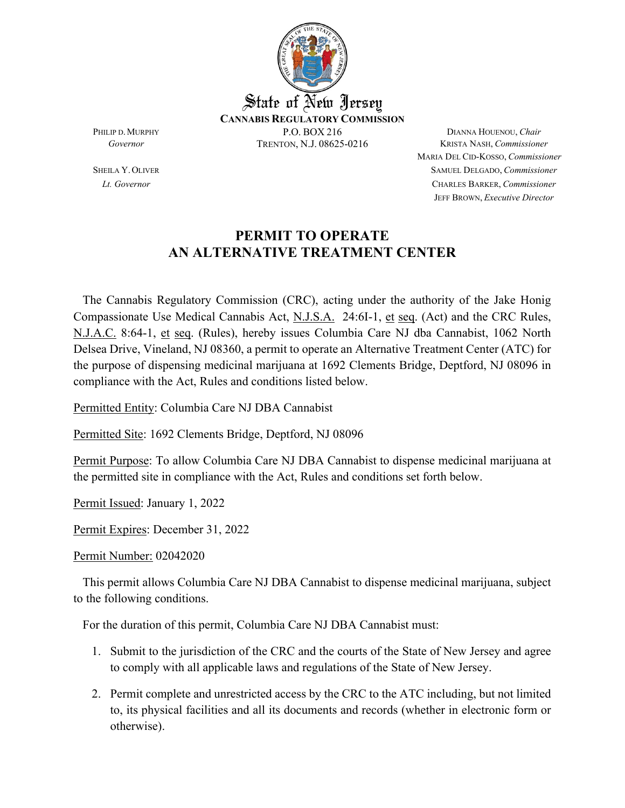

MARIA DEL CID-KOSSO, *Commissioner* SHEILA Y.OLIVER SAMUEL DELGADO, *Commissioner Lt. Governor* CHARLES BARKER, *Commissioner* JEFF BROWN, *Executive Director*

#### **PERMIT TO OPERATE AN ALTERNATIVE TREATMENT CENTER**

 The Cannabis Regulatory Commission (CRC), acting under the authority of the Jake Honig Compassionate Use Medical Cannabis Act, N.J.S.A. 24:6I-1, et seq. (Act) and the CRC Rules, N.J.A.C. 8:64-1, et seq. (Rules), hereby issues Columbia Care NJ dba Cannabist, 1062 North Delsea Drive, Vineland, NJ 08360, a permit to operate an Alternative Treatment Center (ATC) for the purpose of dispensing medicinal marijuana at 1692 Clements Bridge, Deptford, NJ 08096 in compliance with the Act, Rules and conditions listed below.

Permitted Entity: Columbia Care NJ DBA Cannabist

Permitted Site: 1692 Clements Bridge, Deptford, NJ 08096

Permit Purpose: To allow Columbia Care NJ DBA Cannabist to dispense medicinal marijuana at the permitted site in compliance with the Act, Rules and conditions set forth below.

Permit Issued: January 1, 2022

Permit Expires: December 31, 2022

Permit Number: 02042020

 This permit allows Columbia Care NJ DBA Cannabist to dispense medicinal marijuana, subject to the following conditions.

For the duration of this permit, Columbia Care NJ DBA Cannabist must:

- 1. Submit to the jurisdiction of the CRC and the courts of the State of New Jersey and agree to comply with all applicable laws and regulations of the State of New Jersey.
- 2. Permit complete and unrestricted access by the CRC to the ATC including, but not limited to, its physical facilities and all its documents and records (whether in electronic form or otherwise).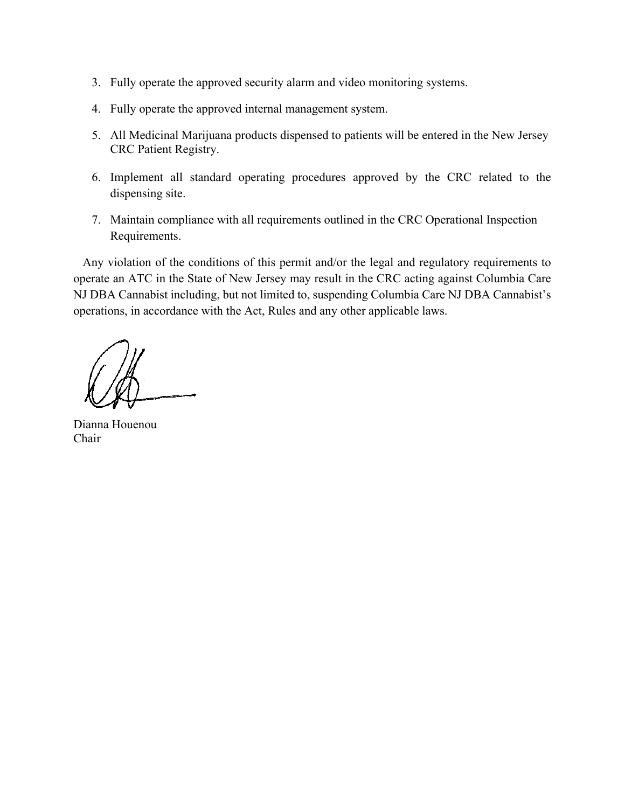- 3. Fully operate the approved security alarm and video monitoring systems.
- 4. Fully operate the approved internal management system.
- 5. All Medicinal Marijuana products dispensed to patients will be entered in the New Jersey CRC Patient Registry.
- 6. Implement all standard operating procedures approved by the CRC related to the dispensing site.
- 7. Maintain compliance with all requirements outlined in the CRC Operational Inspection Requirements.

 Any violation of the conditions of this permit and/or the legal and regulatory requirements to operate an ATC in the State of New Jersey may result in the CRC acting against Columbia Care NJ DBA Cannabist including, but not limited to, suspending Columbia Care NJ DBA Cannabist's operations, in accordance with the Act, Rules and any other applicable laws.

Dianna Houenou Chair